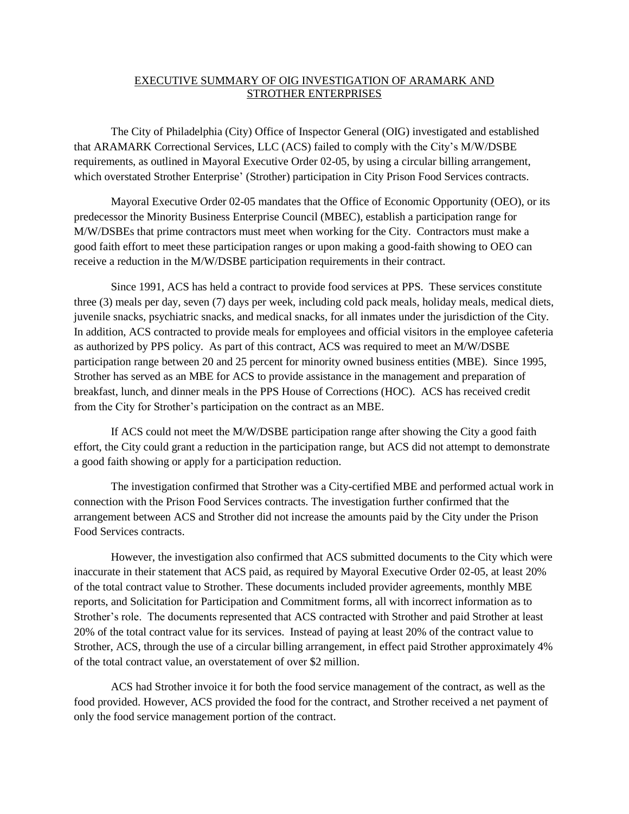## EXECUTIVE SUMMARY OF OIG INVESTIGATION OF ARAMARK AND STROTHER ENTERPRISES

The City of Philadelphia (City) Office of Inspector General (OIG) investigated and established that ARAMARK Correctional Services, LLC (ACS) failed to comply with the City's M/W/DSBE requirements, as outlined in Mayoral Executive Order 02-05, by using a circular billing arrangement, which overstated Strother Enterprise' (Strother) participation in City Prison Food Services contracts.

Mayoral Executive Order 02-05 mandates that the Office of Economic Opportunity (OEO), or its predecessor the Minority Business Enterprise Council (MBEC), establish a participation range for M/W/DSBEs that prime contractors must meet when working for the City. Contractors must make a good faith effort to meet these participation ranges or upon making a good-faith showing to OEO can receive a reduction in the M/W/DSBE participation requirements in their contract.

Since 1991, ACS has held a contract to provide food services at PPS. These services constitute three (3) meals per day, seven (7) days per week, including cold pack meals, holiday meals, medical diets, juvenile snacks, psychiatric snacks, and medical snacks, for all inmates under the jurisdiction of the City. In addition, ACS contracted to provide meals for employees and official visitors in the employee cafeteria as authorized by PPS policy. As part of this contract, ACS was required to meet an M/W/DSBE participation range between 20 and 25 percent for minority owned business entities (MBE). Since 1995, Strother has served as an MBE for ACS to provide assistance in the management and preparation of breakfast, lunch, and dinner meals in the PPS House of Corrections (HOC). ACS has received credit from the City for Strother's participation on the contract as an MBE.

If ACS could not meet the M/W/DSBE participation range after showing the City a good faith effort, the City could grant a reduction in the participation range, but ACS did not attempt to demonstrate a good faith showing or apply for a participation reduction.

The investigation confirmed that Strother was a City-certified MBE and performed actual work in connection with the Prison Food Services contracts. The investigation further confirmed that the arrangement between ACS and Strother did not increase the amounts paid by the City under the Prison Food Services contracts.

However, the investigation also confirmed that ACS submitted documents to the City which were inaccurate in their statement that ACS paid, as required by Mayoral Executive Order 02-05, at least 20% of the total contract value to Strother. These documents included provider agreements, monthly MBE reports, and Solicitation for Participation and Commitment forms, all with incorrect information as to Strother's role. The documents represented that ACS contracted with Strother and paid Strother at least 20% of the total contract value for its services. Instead of paying at least 20% of the contract value to Strother, ACS, through the use of a circular billing arrangement, in effect paid Strother approximately 4% of the total contract value, an overstatement of over \$2 million.

ACS had Strother invoice it for both the food service management of the contract, as well as the food provided. However, ACS provided the food for the contract, and Strother received a net payment of only the food service management portion of the contract.